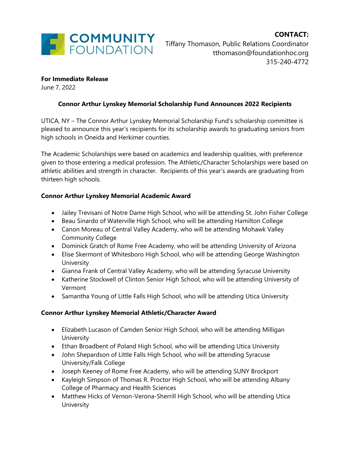

#### **For Immediate Release**

June 7, 2022

### **Connor Arthur Lynskey Memorial Scholarship Fund Announces 2022 Recipients**

UTICA, NY – The Connor Arthur Lynskey Memorial Scholarship Fund's scholarship committee is pleased to announce this year's recipients for its scholarship awards to graduating seniors from high schools in Oneida and Herkimer counties.

The Academic Scholarships were based on academics and leadership qualities, with preference given to those entering a medical profession. The Athletic/Character Scholarships were based on athletic abilities and strength in character. Recipients of this year's awards are graduating from thirteen high schools.

#### **Connor Arthur Lynskey Memorial Academic Award**

- Jailey Trevisani of Notre Dame High School, who will be attending St. John Fisher College
- Beau Sinardo of Waterville High School, who will be attending Hamilton College
- Canon Moreau of Central Valley Academy, who will be attending Mohawk Valley Community College
- Dominick Gratch of Rome Free Academy, who will be attending University of Arizona
- Elise Skermont of Whitesboro High School, who will be attending George Washington **University**
- Gianna Frank of Central Valley Academy, who will be attending Syracuse University
- Katherine Stockwell of Clinton Senior High School, who will be attending University of Vermont
- Samantha Young of Little Falls High School, who will be attending Utica University

### **Connor Arthur Lynskey Memorial Athletic/Character Award**

- Elizabeth Lucason of Camden Senior High School, who will be attending Milligan **University**
- Ethan Broadbent of Poland High School, who will be attending Utica University
- John Shepardson of Little Falls High School, who will be attending Syracuse University/Falk College
- Joseph Keeney of Rome Free Academy, who will be attending SUNY Brockport
- Kayleigh Simpson of Thomas R. Proctor High School, who will be attending Albany College of Pharmacy and Health Sciences
- Matthew Hicks of Vernon-Verona-Sherrill High School, who will be attending Utica **University**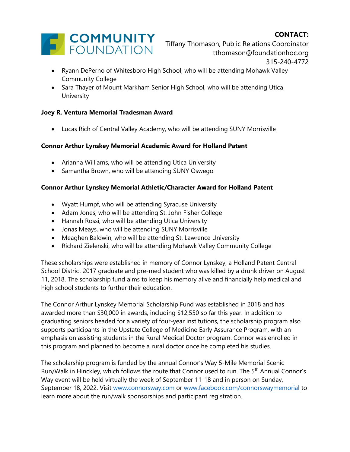# **CONTACT:**



Tiffany Thomason, Public Relations Coordinator tthomason@foundationhoc.org 315-240-4772

- Ryann DePerno of Whitesboro High School, who will be attending Mohawk Valley Community College
- Sara Thayer of Mount Markham Senior High School, who will be attending Utica University

### **Joey R. Ventura Memorial Tradesman Award**

• Lucas Rich of Central Valley Academy, who will be attending SUNY Morrisville

## **Connor Arthur Lynskey Memorial Academic Award for Holland Patent**

- Arianna Williams, who will be attending Utica University
- Samantha Brown, who will be attending SUNY Oswego

## **Connor Arthur Lynskey Memorial Athletic/Character Award for Holland Patent**

- Wyatt Humpf, who will be attending Syracuse University
- Adam Jones, who will be attending St. John Fisher College
- Hannah Rossi, who will be attending Utica University
- Jonas Meays, who will be attending SUNY Morrisville
- Meaghen Baldwin, who will be attending St. Lawrence University
- Richard Zielenski, who will be attending Mohawk Valley Community College

These scholarships were established in memory of Connor Lynskey, a Holland Patent Central School District 2017 graduate and pre-med student who was killed by a drunk driver on August 11, 2018. The scholarship fund aims to keep his memory alive and financially help medical and high school students to further their education.

The Connor Arthur Lynskey Memorial Scholarship Fund was established in 2018 and has awarded more than \$30,000 in awards, including \$12,550 so far this year. In addition to graduating seniors headed for a variety of four-year institutions, the scholarship program also supports participants in the Upstate College of Medicine Early Assurance Program, with an emphasis on assisting students in the Rural Medical Doctor program. Connor was enrolled in this program and planned to become a rural doctor once he completed his studies.

The scholarship program is funded by the annual Connor's Way 5-Mile Memorial Scenic Run/Walk in Hinckley, which follows the route that Connor used to run. The 5<sup>th</sup> Annual Connor's Way event will be held virtually the week of September 11-18 and in person on Sunday, September 18, 2022. Visit [www.connorsway.com](http://www.connorsway.com/) or [www.facebook.com/connorswaymemorial](http://www.facebook.com/connorswaymemorial) to learn more about the run/walk sponsorships and participant registration.